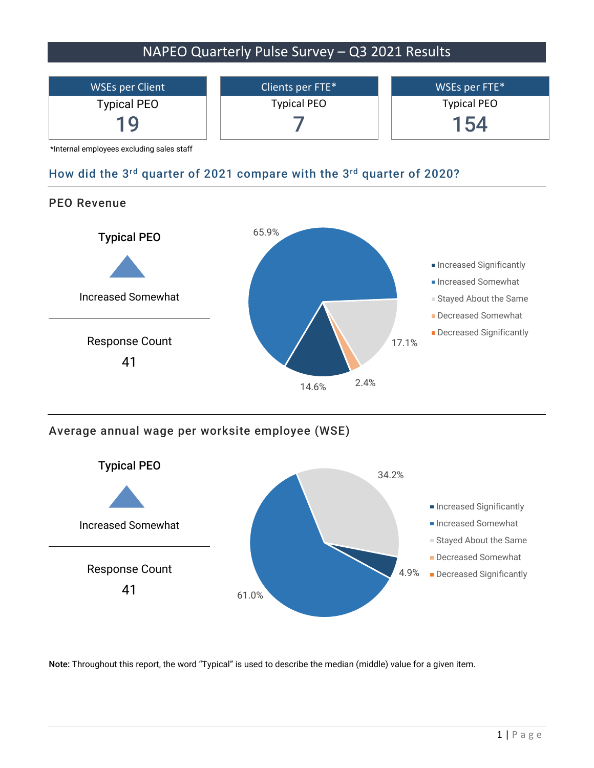

14.6%

2.4%

Average annual wage per worksite employee (WSE)



Note: Throughout this report, the word "Typical" is used to describe the median (middle) value for a given item.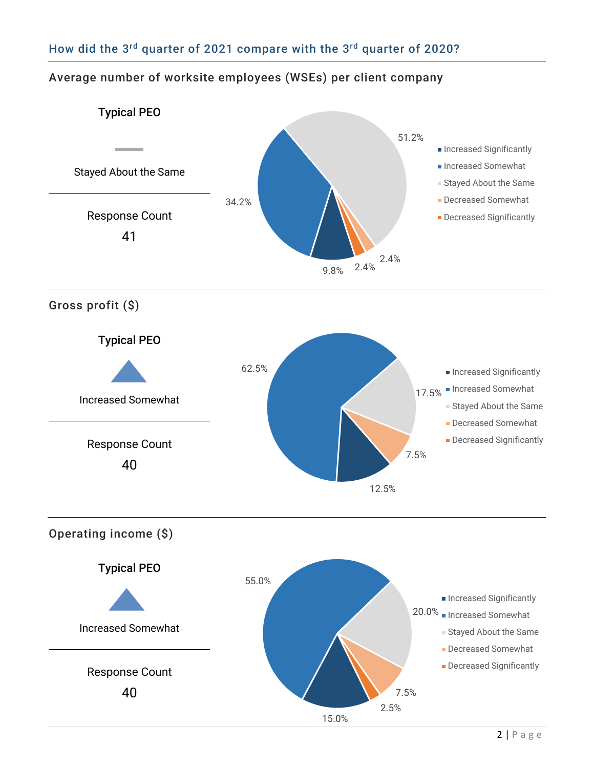## Average number of worksite employees (WSEs) per client company

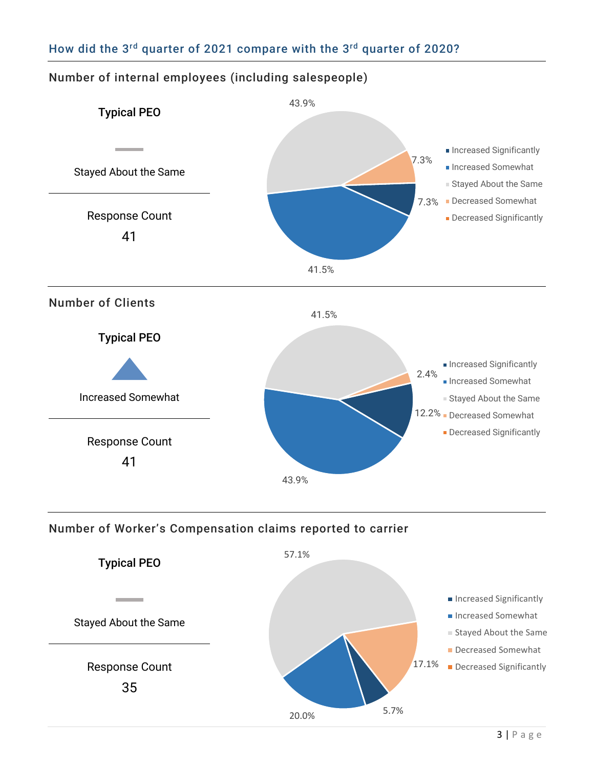

## Number of internal employees (including salespeople)